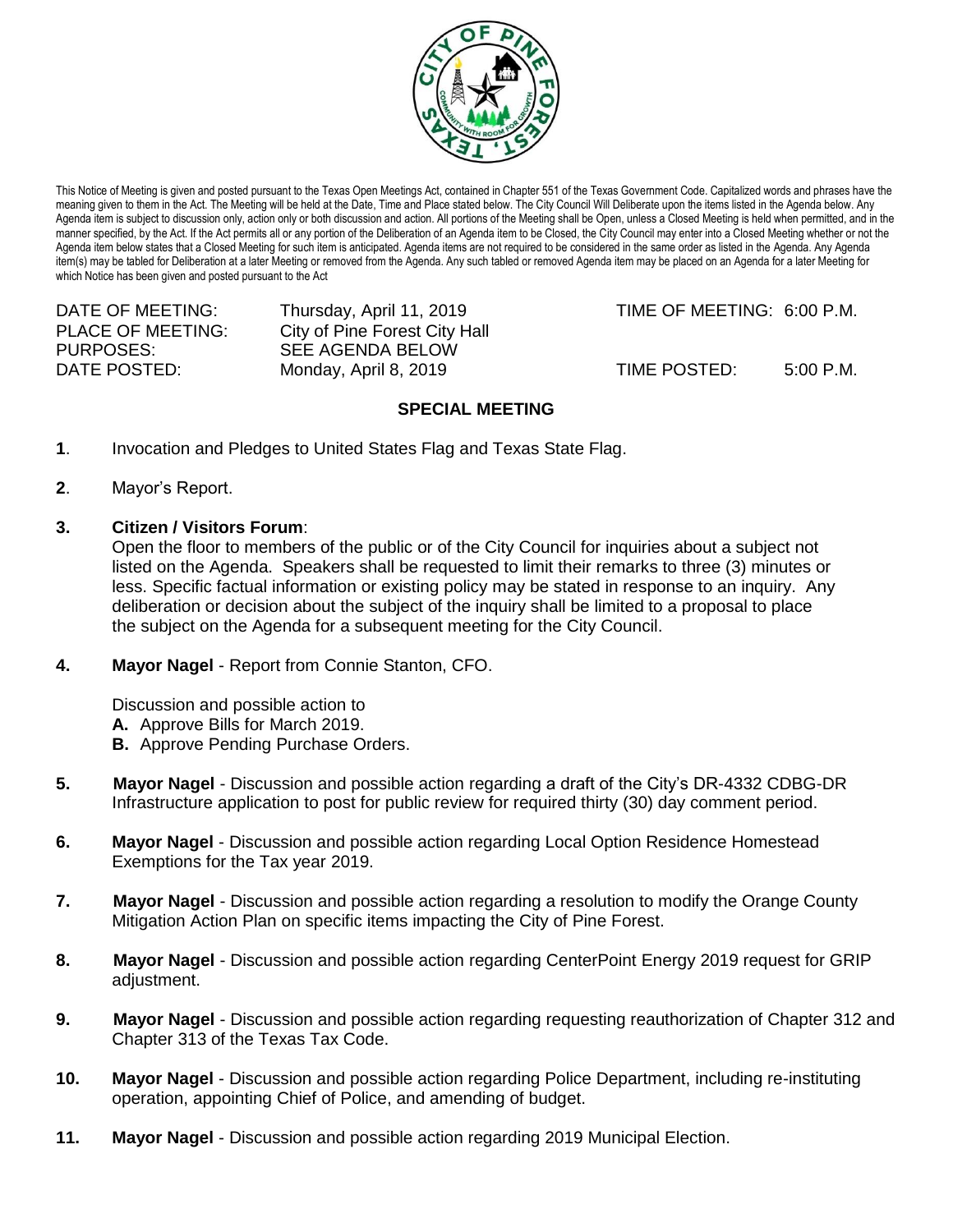

This Notice of Meeting is given and posted pursuant to the Texas Open Meetings Act, contained in Chapter 551 of the Texas Government Code. Capitalized words and phrases have the meaning given to them in the Act. The Meeting will be held at the Date, Time and Place stated below. The City Council Will Deliberate upon the items listed in the Agenda below. Any Agenda item is subject to discussion only, action only or both discussion and action. All portions of the Meeting shall be Open, unless a Closed Meeting is held when permitted, and in the manner specified, by the Act. If the Act permits all or any portion of the Deliberation of an Agenda item to be Closed, the City Council may enter into a Closed Meeting whether or not the Agenda item below states that a Closed Meeting for such item is anticipated. Agenda items are not required to be considered in the same order as listed in the Agenda. Any Agenda item(s) may be tabled for Deliberation at a later Meeting or removed from the Agenda. Any such tabled or removed Agenda item may be placed on an Agenda for a later Meeting for which Notice has been given and posted pursuant to the Act

| DATE OF MEETING:         | Thursday, April 11, 2019      | TIME OF MEETING: 6:00 P.M. |           |
|--------------------------|-------------------------------|----------------------------|-----------|
| <b>PLACE OF MEETING:</b> | City of Pine Forest City Hall |                            |           |
| PURPOSES:                | SEE AGENDA BELOW              |                            |           |
| DATE POSTED:             | Monday, April 8, 2019         | TIME POSTED:               | 5:00 P.M. |

# **SPECIAL MEETING**

- **1**. Invocation and Pledges to United States Flag and Texas State Flag.
- **2**. Mayor's Report.
- **3. Citizen / Visitors Forum**:

Open the floor to members of the public or of the City Council for inquiries about a subject not listed on the Agenda. Speakers shall be requested to limit their remarks to three (3) minutes or less. Specific factual information or existing policy may be stated in response to an inquiry. Any deliberation or decision about the subject of the inquiry shall be limited to a proposal to place the subject on the Agenda for a subsequent meeting for the City Council.

**4. Mayor Nagel** - Report from Connie Stanton, CFO.

Discussion and possible action to

- **A.** Approve Bills for March 2019.
- **B.** Approve Pending Purchase Orders.
- **5. Mayor Nagel** Discussion and possible action regarding a draft of the City's DR-4332 CDBG-DR Infrastructure application to post for public review for required thirty (30) day comment period.
- **6. Mayor Nagel** Discussion and possible action regarding Local Option Residence Homestead Exemptions for the Tax year 2019.
- **7. Mayor Nagel** Discussion and possible action regarding a resolution to modify the Orange County Mitigation Action Plan on specific items impacting the City of Pine Forest.
- **8. Mayor Nagel** Discussion and possible action regarding CenterPoint Energy 2019 request for GRIP adjustment.
- **9. Mayor Nagel**  Discussion and possible action regarding requesting reauthorization of Chapter 312 and Chapter 313 of the Texas Tax Code.
- **10. Mayor Nagel**  Discussion and possible action regarding Police Department, including re-instituting operation, appointing Chief of Police, and amending of budget.
- **11. Mayor Nagel**  Discussion and possible action regarding 2019 Municipal Election.